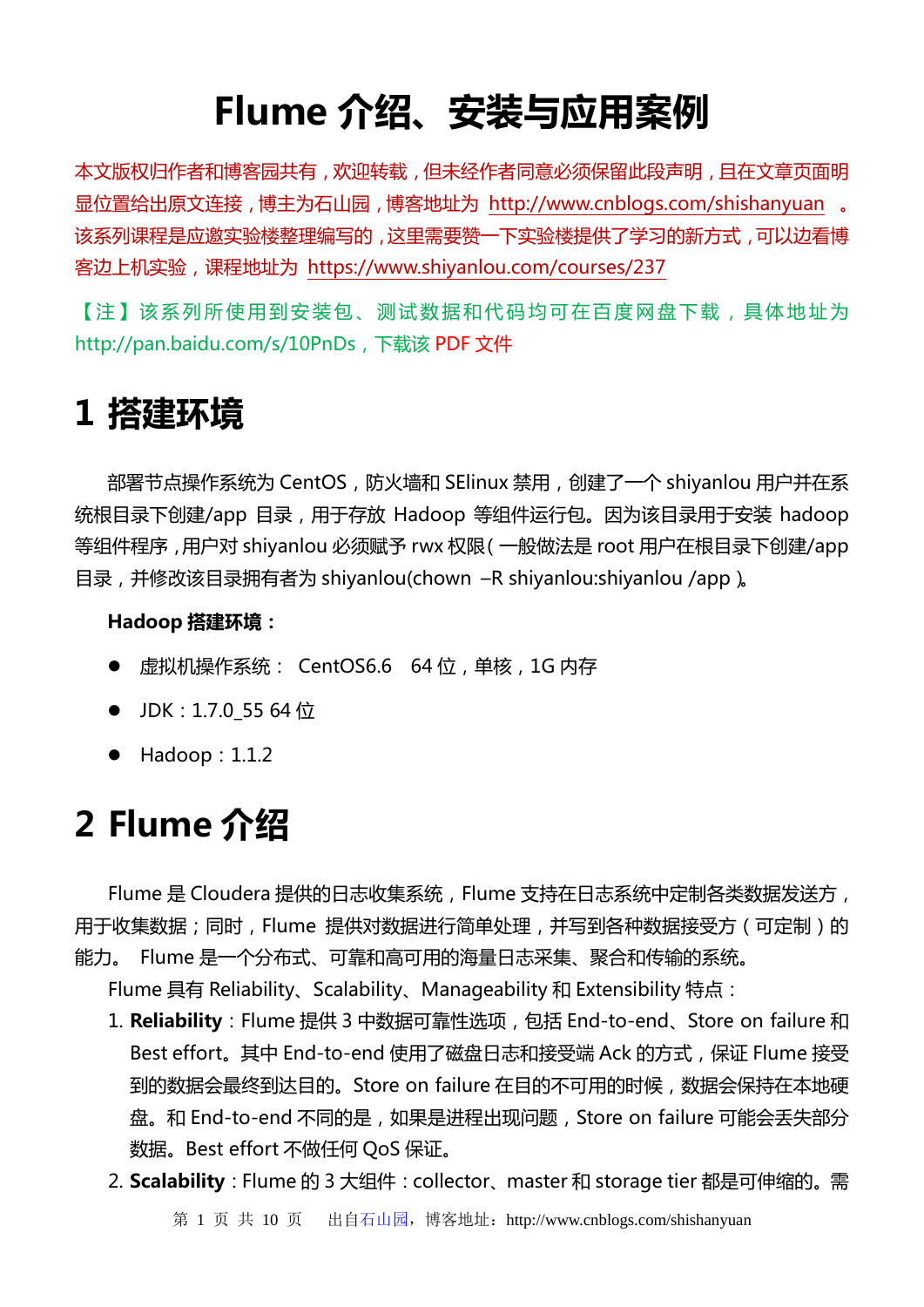# **Flume 介绍、安装与应用案例**

本文版权归作者和博客园共有,欢迎转载,但未经作者同意必须保留此段声明,且在文章页面明 显位置给出原文连接,博主为石山园,博客地址为 <http://www.cnblogs.com/shishanyuan> 。 该系列课程是应邀实验楼整理编写的,这里需要赞一下实验楼提供了学习的新方式,可以边看博 客边上机实验,课程地址为 <https://www.shiyanlou.com/courses/237>

【注】该系列所使用到安装包、测试数据和代码均可在百度网盘下载,具体地址为 http://pan.baidu.com/s/10PnDs , 下载该 **PDF** [文件](http://files.cnblogs.com/files/shishanyuan/1.Hadoop%E5%85%A5%E9%97%A8%E8%BF%9B%E9%98%B6%E8%AF%BE%E7%A8%8B_%E7%AC%AC1%E5%91%A8_Hadoop1.X%E4%BC%AA%E5%88%86%E5%B8%83%E5%BC%8F%E5%AE%89%E8%A3%85.pdf)

## **1 搭建环境**

部署节点操作系统为 CentOS, 防火墙和 SElinux 禁用, 创建了一个 shiyanlou 用户并在系 统根目录下创建/app 目录, 用于存放 Hadoop 等组件运行包。因为该目录用于安装 hadoop 等组件程序,用户对 shiyanlou 必须赋予 rwx 权限(一般做法是 root 用户在根目录下创建/app 目录,并修改该目录拥有者为 shiyanlou(chown –R shiyanlou:shiyanlou /app)。

#### **Hadoop 搭建环境:**

- 虚拟机操作系统: CentOS6.6 64 位,单核,1G 内存
- JDK:  $1.7.0$  55 64 位
- $\bullet$  Hadoop: 1.1.2

## **2 Flume 介绍**

Flume 是 Cloudera 提供的日志收集系统, Flume 支持在日志系统中定制各类数据发送方, 用于收集数据;同时,Flume 提供对数据进行简单处理,并写到各种数据接受方(可定制)的 能力。 Flume 是一个分布式、可靠和高可用的海量日志采集、聚合和传输的系统。

Flume 具有 Reliability、Scalability、Manageability 和 Extensibility 特点:

- 1. **Reliability**:Flume 提供 3 中数据可靠性选项,包括 End-to-end、Store on failure 和 Best effort。其中 End-to-end 使用了磁盘日志和接受端 Ack 的方式,保证 Flume 接受 到的数据会最终到达目的。Store on failure 在目的不可用的时候,数据会保持在本地硬 盘。和 End-to-end 不同的是, 如果是进程出现问题, Store on failure 可能会丢失部分 数据。Best effort 不做任何 QoS 保证。
- 2. **Scalability**:Flume 的 3 大组件:collector、master 和 storage tier 都是可伸缩的。需

第 1 页 共 10 页 出自石山园, 博客地址: http://www.cnblogs.com/shishanyuan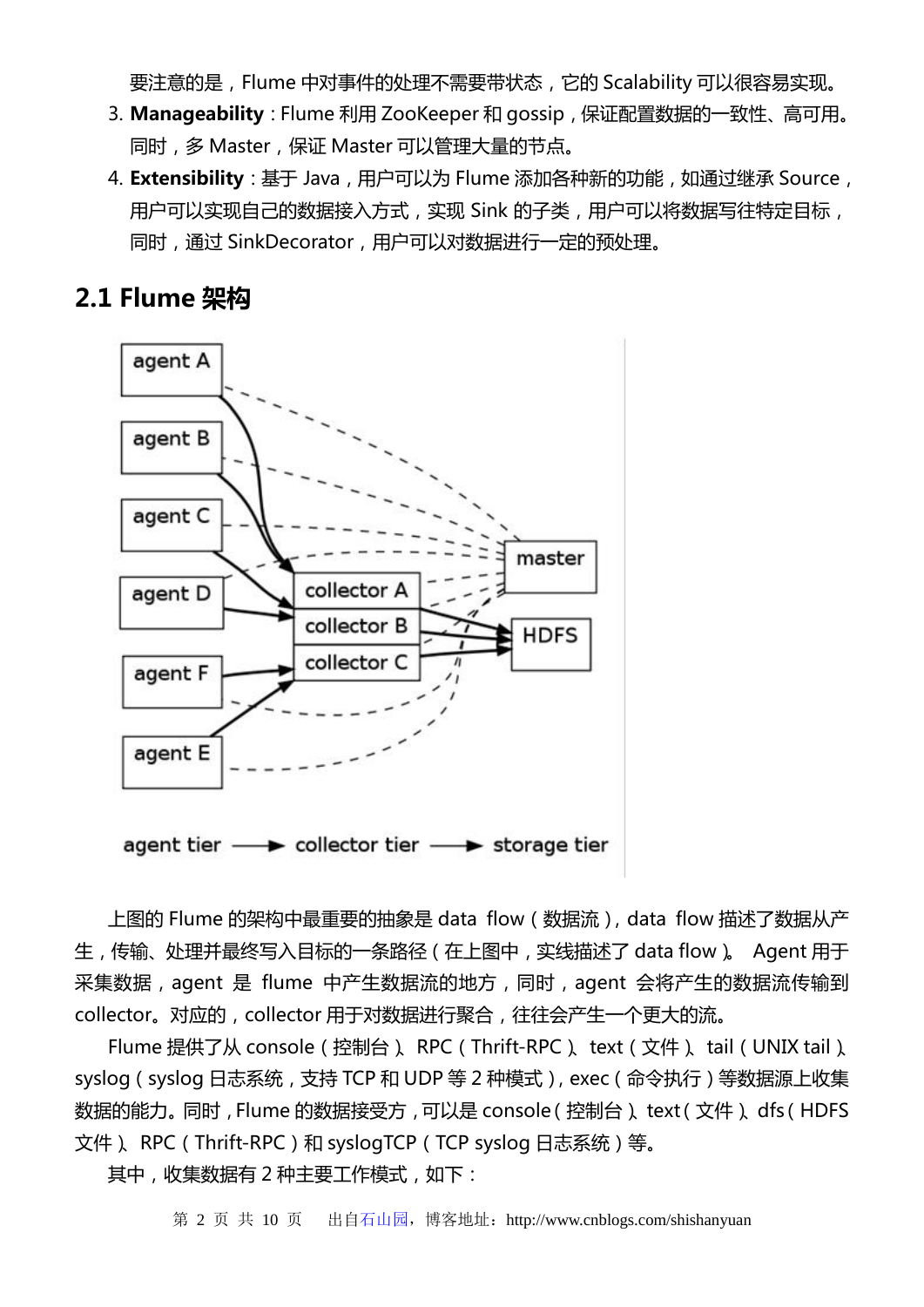要注意的是,Flume 中对事件的处理不需要带状态,它的 Scalability 可以很容易实现。

- 3. **Manageability**:Flume 利用 ZooKeeper 和 gossip,保证配置数据的一致性、高可用。 同时,多 Master,保证 Master 可以管理大量的节点。
- 4. **Extensibility**: 基于 Java,用户可以为 Flume 添加各种新的功能, 如通过继承 Source, 用户可以实现自己的数据接入方式, 实现 Sink 的子类, 用户可以将数据写往特定目标, 同时,通过 SinkDecorator,用户可以对数据进行一定的预处理。

## **2.1 Flume 架构**



agent tier - collector tier - storage tier

上图的 Flume 的架构中最重要的抽象是 data flow (数据流), data flow 描述了数据从产 生,传输、处理并最终写入目标的一条路径(在上图中,实线描述了 data flow)。 Agent 用于 采集数据,agent 是 flume 中产生数据流的地方,同时,agent 会将产生的数据流传输到 collector。对应的, collector 用于对数据进行聚合, 往往会产生一个更大的流。

Flume 提供了从 console(控制台)、RPC(Thrift-RPC)、text(文件)、tail(UNIX tail)、 syslog(syslog 日志系统,支持 TCP 和 UDP 等 2 种模式),exec(命令执行)等数据源上收集 数据的能力。同时,Flume 的数据接受方,可以是 console(控制台)、text(文件)、dfs(HDFS 文件)、RPC(Thrift-RPC)和 syslogTCP(TCP syslog 日志系统)等。

其中,收集数据有 2 种主要工作模式,如下:

第 2 页 共 10 页 出自石山园, 博客地址: http://www.cnblogs.com/shishanyuan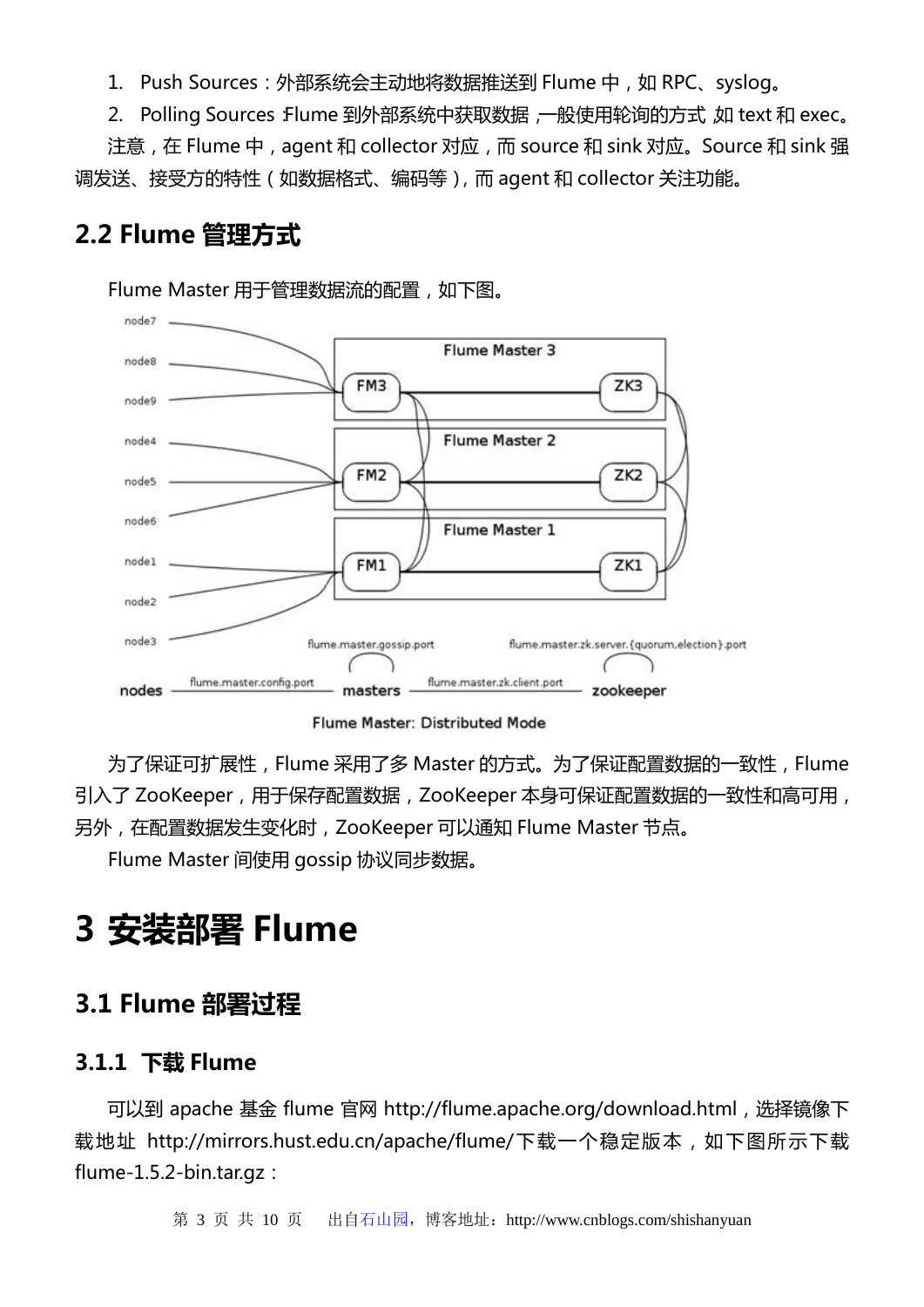1. Push Sources: 外部系统会主动地将数据推送到 Flume 中, 如 RPC、syslog。

2. Polling Sources: Flume 到外部系统中获取数据, 一般使用轮询的方式, 如 text 和 exec.

注意,在 Flume 中,agent 和 collector 对应,而 source 和 sink 对应。Source 和 sink 强 调发送、接受方的特性(如数据格式、编码等),而 agent 和 collector 关注功能。

## **2.2 Flume 管理方式**

Flume Master 用于管理数据流的配置,如下图。



Flume Master: Distributed Mode

为了保证可扩展性,Flume 采用了多 Master 的方式。为了保证配置数据的一致性,Flume 引入了 ZooKeeper,用于保存配置数据,ZooKeeper 本身可保证配置数据的一致性和高可用, 另外,在配置数据发生变化时,ZooKeeper 可以通知 Flume Master 节点。

Flume Master 间使用 gossip 协议同步数据。

# **3 安装部署 Flume**

## **3.1 Flume 部署过程**

#### **3.1.1 下载 Flume**

可以到 apache 基金 flume 官网 http://flume.apache.org/download.html,选择镜像下 载地址 http://mirrors.hust.edu.cn/apache/flume/下载一个稳定版本,如下图所示下载 flume-1.5.2-bin.tar.gz:

第 3 页 共 10 页 出自石山园,博客地址:http://www.cnblogs.com/shishanyuan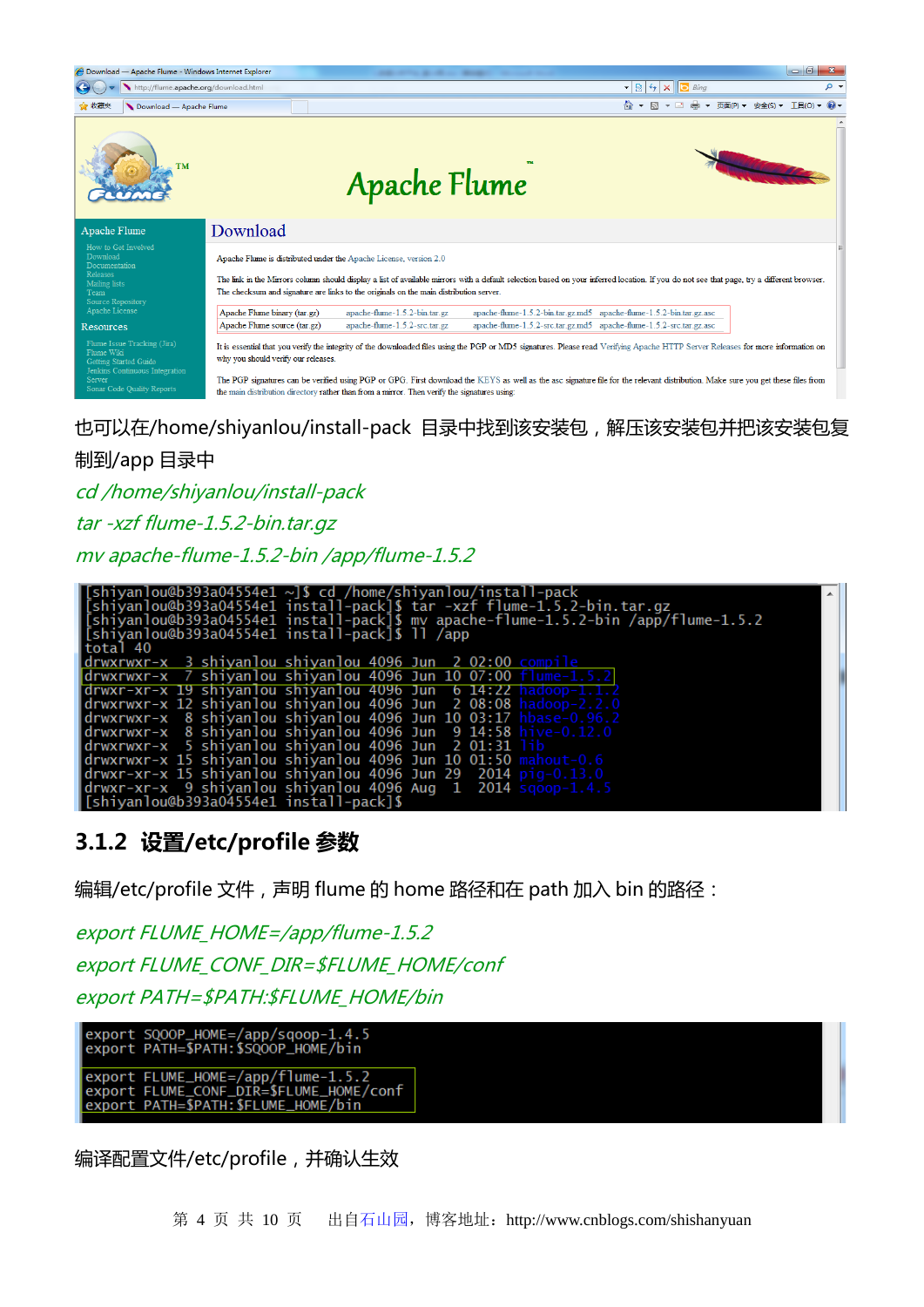| Download - Apache Flume - Windows Internet Explorer                                                            |                                                                                                                                                                                                                                                                                                                                                                                                             |                               |                                                                     |                                                                                                                                                                                           | $-0$                          |  |  |
|----------------------------------------------------------------------------------------------------------------|-------------------------------------------------------------------------------------------------------------------------------------------------------------------------------------------------------------------------------------------------------------------------------------------------------------------------------------------------------------------------------------------------------------|-------------------------------|---------------------------------------------------------------------|-------------------------------------------------------------------------------------------------------------------------------------------------------------------------------------------|-------------------------------|--|--|
| http://flume.apache.org/download.html                                                                          |                                                                                                                                                                                                                                                                                                                                                                                                             |                               |                                                                     | $\mathbf{r} \times \mathbf{r}$ $\mathbf{r} \times \mathbf{r}$ $\mathbf{r} \times \mathbf{r}$                                                                                              | - م                           |  |  |
| ☆ 收藏夹<br>Download - Apache Flume                                                                               |                                                                                                                                                                                                                                                                                                                                                                                                             |                               |                                                                     | å ▼ N ▼ ⊡ ●                                                                                                                                                                               | ▼ 页面(P) ▼ 安全(S) ▼ 工具(O) ▼ 2 ▼ |  |  |
| <b>TM</b>                                                                                                      |                                                                                                                                                                                                                                                                                                                                                                                                             | <b>Apache Flume</b>           |                                                                     |                                                                                                                                                                                           |                               |  |  |
| Apache Flume                                                                                                   | Download                                                                                                                                                                                                                                                                                                                                                                                                    |                               |                                                                     |                                                                                                                                                                                           |                               |  |  |
| How to Get Involved<br>Download<br>Documentation<br><b>Releases</b><br>Mailing lists                           | Apache Flume is distributed under the Apache License, version 2.0                                                                                                                                                                                                                                                                                                                                           |                               |                                                                     | The link in the Mirrors column should display a list of available mirrors with a default selection based on your inferred location. If you do not see that page, try a different browser. |                               |  |  |
| Team<br>Source Repository                                                                                      | The checksum and signature are links to the originals on the main distribution server.                                                                                                                                                                                                                                                                                                                      |                               |                                                                     |                                                                                                                                                                                           |                               |  |  |
| Apache License                                                                                                 | Apache Flume binary (tar.gz)                                                                                                                                                                                                                                                                                                                                                                                | apache-flume-1.5.2-bin.tar.gz | apache-flume-1.5.2-bin.tar.gz.md5 apache-flume-1.5.2-bin.tar.gz.asc |                                                                                                                                                                                           |                               |  |  |
| Resources                                                                                                      | Apache Flume source (tar.gz)                                                                                                                                                                                                                                                                                                                                                                                | apache-flume-1.5.2-src.tar.gz | apache-flume-1.5.2-src.tar.gz.md5 apache-flume-1.5.2-src.tar.gz.asc |                                                                                                                                                                                           |                               |  |  |
| Flume Issue Tracking (Jira)<br>Flume Wiki<br>Getting Started Guide<br>Jenkins Continuous Integration<br>Server | It is essential that you verify the integrity of the downloaded files using the PGP or MD5 signatures. Please read Verifying Apache HTTP Server Releases for more information on<br>why you should verify our releases.<br>The PGP signatures can be verified using PGP or GPG. First download the KEYS as well as the asc signature file for the relevant distribution. Make sure you get these files from |                               |                                                                     |                                                                                                                                                                                           |                               |  |  |
| Sonar Code Quality Reports                                                                                     | the main distribution directory rather than from a mirror. Then verify the signatures using:                                                                                                                                                                                                                                                                                                                |                               |                                                                     |                                                                                                                                                                                           |                               |  |  |

也可以在/home/shiyanlou/install-pack 目录中找到该安装包,解压该安装包并把该安装包复

#### 制到/app 目录中

cd /home/shiyanlou/install-pack

tar -xzf flume-1.5.2-bin.tar.gz

mv apache-flume-1.5.2-bin /app/flume-1.5.2

| $\lceil$ [shiyanlou@b393a04554e1 ~]\$ cd /home/shiyanlou/install-pack               |  |
|-------------------------------------------------------------------------------------|--|
| [shiyanlou@b393a04554e1 install-pack]\$ tar -xzf flume-1.5.2-bin.tar.qz             |  |
| [shiyanlou@b393a04554e1 install-pack]\$ mv apache-flume-1.5.2-bin /app̄/flume-1.5.2 |  |
| [[shiyanlou@b393a04554e1 install-pack]\$ 11 /app                                    |  |
| total 40                                                                            |  |
| ldrwxrwxr-x 3 shiyanlou shiyanlou 4096 Jun 2 02:00 compile                          |  |
| drwxrwxr-x 7 shiyanlou shiyanlou 4096 Jun 10 07:00 flume-1.5.2                      |  |
| $d$ rwxr-xr-x 19 shiyanlou shiyanlou 4096 Jun 6 14:22 hadoop-1.1.2                  |  |
| drwxrwxr-x 12 shiyanlou shiyanlou 4096 Jun -2 08:08 hadoop-2.2.0                    |  |
| drwxrwxr-x 8 shiyanlou shiyanlou 4096 Jun 10 03:17 hbase-0.96.2                     |  |
| drwxrwxr-x 8 shiyanlou shiyanlou 4096 Jun 9 14:58 hive-0.12.0                       |  |
| drwxrwxr-x 5 shiyanlou shiyanlou 4096 Jun 2 01:31 lib                               |  |
| drwxrwxr-x 15 shiyanlou shiyanlou 4096 Jun 10 01:50 mahout-0.6                      |  |
| drwxr-xr-x 15 shiyanlou shiyanlou 4096 Jun 29 -2014 pig-0.13.0                      |  |
| $\vert$ drwxr-xr-x 9 shiyanlou shiyanlou 4096 Aug $\,$ 1 $\,$ 2014 sqoop-1.4.5 $\,$ |  |
| l[shivan]ou@b393a04554e1_install-pack]\$                                            |  |

## **3.1.2 设置/etc/profile 参数**

编辑/etc/profile 文件,声明 flume 的 home 路径和在 path 加入 bin 的路径:

export FLUME\_HOME=/app/flume-1.5.2 export FLUME\_CONF\_DIR=\$FLUME\_HOME/conf export PATH=\$PATH:\$FLUME\_HOME/bin

export SQOOP\_HOME=/app/sqoop-1.4.5<br>export PATH=\$PATH:\$SQOOP\_HOME/bin

export FLUME\_HOME=/app/flume-1.5.2<br>export FLUME\_CONF\_DIR=\$FLUME\_HOME/conf<br>export PATH=\$PATH:\$FLUME\_HOME/bin

编译配置文件/etc/profile,并确认生效

第 4 页 共 10 页 出自石山园, 博客地址: http://www.cnblogs.com/shishanyuan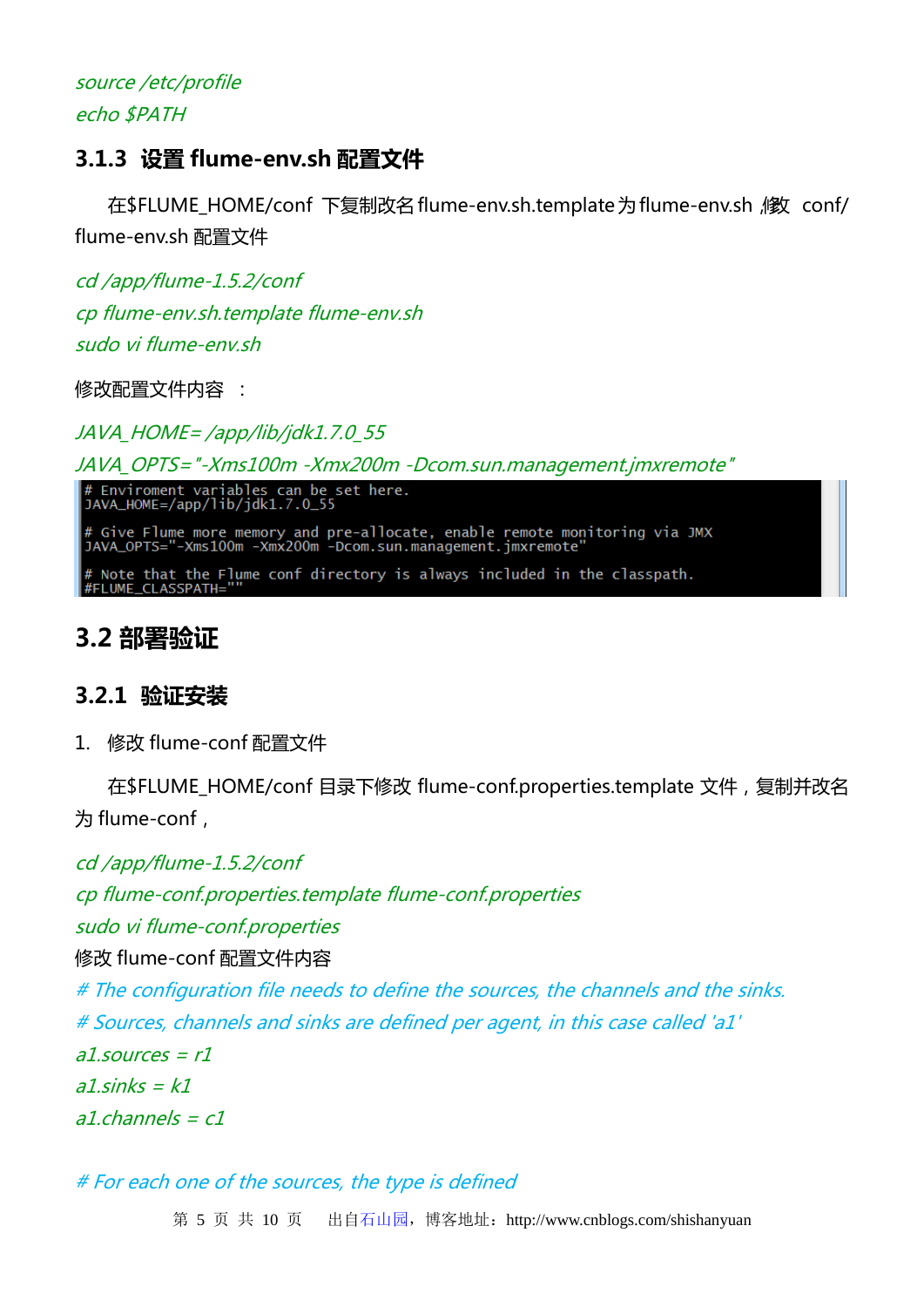## source /etc/profile echo \$PATH

## **3.1.3 设置 flume-env.sh 配置文件**

在\$FLUME HOME/conf 下复制改名 flume-env.sh.template 为 flume-env.sh , l f conf/ flume-env.sh 配置文件

cd /app/flume-1.5.2/conf cp flume-env.sh.template flume-env.sh sudo vi flume-env sh

修改配置文件内容 :

JAVA\_HOME= /app/lib/jdk1.7.0\_55

JAVA\_OPTS="-Xms100m -Xmx200m -Dcom.sun.management.jmxremote"

# Enviroment variables can be set here.<br>JAVA\_HOME=/app/lib/jdk1.7.0\_55

# Give Flume more memory and pre-allocate, enable remote monitoring via JMX<br>JAVA\_OPTS="-Xms100m -Xmx200m -Dcom.sun.management.jmxremote"

# Note that the Flume conf directory is always included in the classpath.<br>#FLUME\_CLASSPATH=""

## **3.2 部署验证**

### **3.2.1 验证安装**

1. 修改 flume-conf 配置文件

在\$FLUME\_HOME/conf 目录下修改 flume-conf.properties.template 文件,复制并改名 为 flume-conf,

cd /app/flume-1.5.2/conf

cp flume-conf.properties.template flume-conf.properties

sudo vi flume-conf.properties

修改 flume-conf 配置文件内容

# The configuration file needs to define the sources, the channels and the sinks. # Sources, channels and sinks are defined per agent, in this case called 'a1'  $a1$ .sources =  $r1$  $a1\sin ks = k1$  $a1$ .channels =  $c1$ 

# For each one of the sources, the type is defined

第 5 页 共 10 页 出自石山园, 博客地址: http://www.cnblogs.com/shishanyuan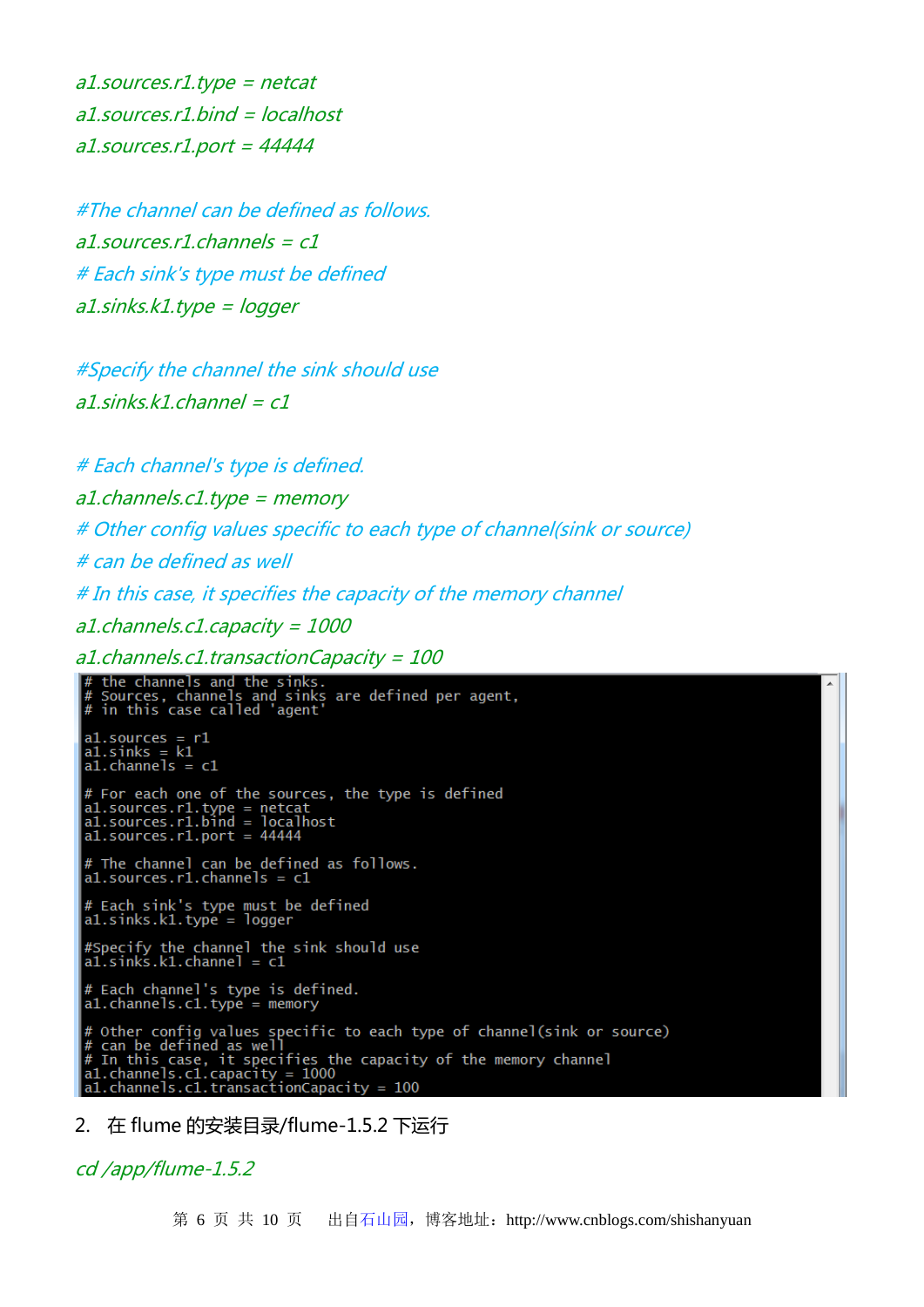a1.sources.r1.type = netcat a1.sources.r1.bind = localhost  $a1$ .sources.r1.port = 44444

#The channel can be defined as follows. a1.sources.r1.channels = c1 # Each sink's type must be defined a1.sinks.k1.type = logger

#Specify the channel the sink should use a1 sinks  $k1$  channel =  $c1$ 

# Each channel's type is defined. a1.channels.c1.type = memory # Other config values specific to each type of channel(sink or source) # can be defined as well # In this case, it specifies the capacity of the memory channel a1.channels.c1.capacity = 1000 a1.channels.c1.transactionCapacity = 100

```
the channels and the sinks.<br>Sources, channels and sinks are defined per agent,<br>in this case called 'agent'
\begin{array}{ll} \text{a1.sources} & = \text{r1} \\ \text{a1.sinks} & = \text{k1} \\ \text{a1.chamnels} & = \text{c1} \end{array}# For each one of the sources, the type is defined<br>al.sources.rl.type = netcat<br>al.sources.rl.bind = localhost<br>al.sources.rl.port = 44444
# The channel can be defined as follows.<br>al.sources.rl.channels = c1# Each sink's type must be defined<br>al.sinks.kl.type = logger
#Specify the channel the sink should use<br>a1.sinks.k1.channel = c1
# Each channel's type is defined.<br>a1.channels.c1.type = memory
    Other config values specific to each type of channel(sink or source)<br>can be defined as well<br>In this case, it specifies the capacity of the memory channel<br>1.channels.c1.capacity = 1000<br>1.channels.c1.transactionCapacity = 10
```
2. 在 flume 的安装目录/flume-1.5.2 下运行

cd /app/flume-1.5.2

第 6 页 共 10 页 出自石山园,博客地址:http://www.cnblogs.com/shishanyuan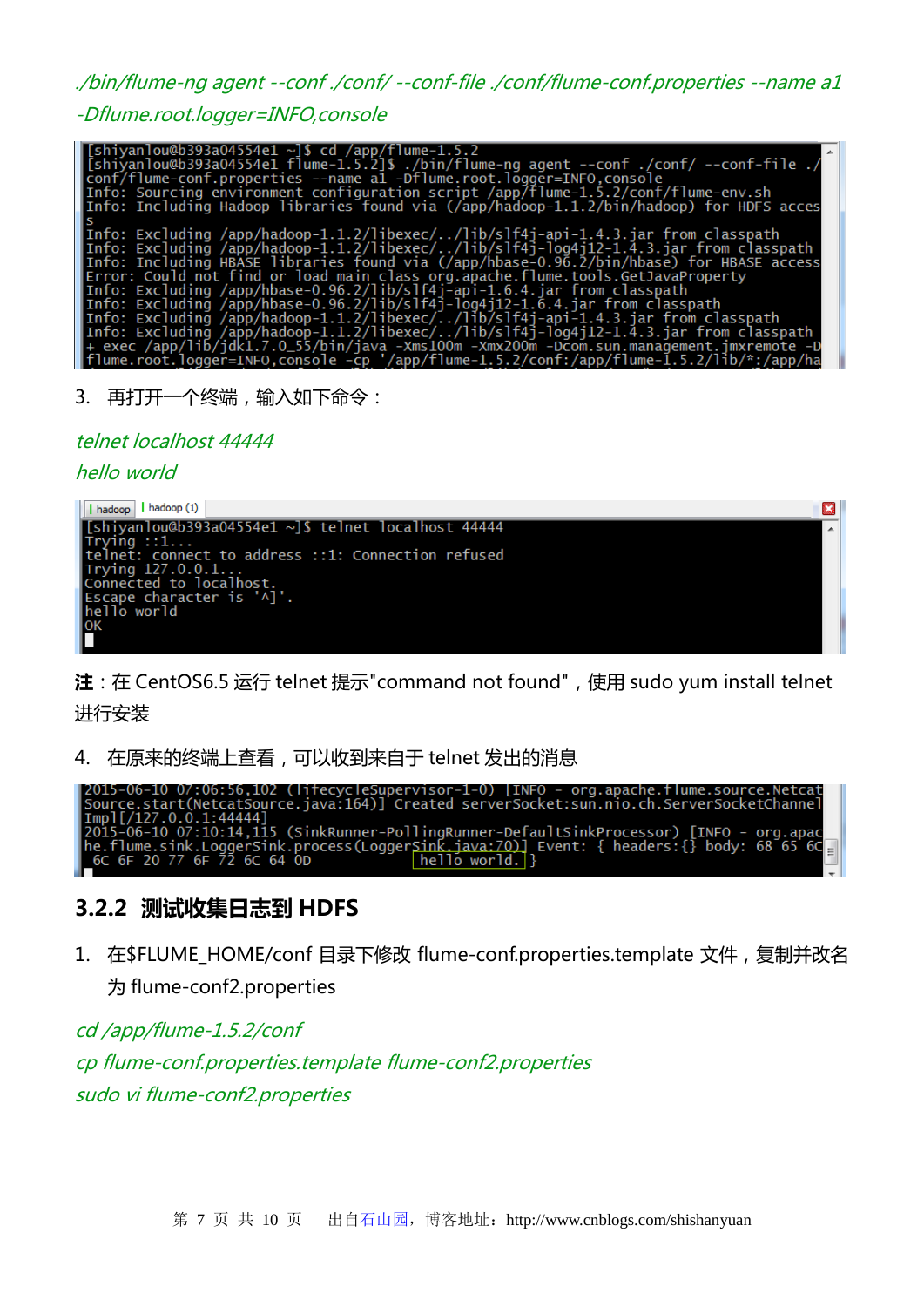./bin/flume-ng agent --conf ./conf/ --conf-file ./conf/flume-conf.properties --name a1

-Dflume.root.logger=INFO,console

| $\lceil$ [shiyanlou@b393a04554e1 ~]\$ cd /app/flume-1.5.2<br>/. shiyanlou@b393a04554e1 flume-1.5.2]\$ ./bin/flume-ng agent --conf ./conf/ --conf-file ./                             |
|--------------------------------------------------------------------------------------------------------------------------------------------------------------------------------------|
| conf/flume-conf.properties --name al -Dflume.root.logger=INFO,console<br>Info: Sourcing environment configuration script /app/flume-1.5.2/conf/flume-env.sh                          |
| Info: Including Hadoop libraries found via (/app/hadoop-1.1.2/bin/hadoop) for HDFS acces                                                                                             |
| Info: Excluding /app/hadoop-1.1.2/libexec//lib/slf4j-api-1.4.3.jar from classpath                                                                                                    |
| Info: Excluding /app/hadoop-1.1.2/libexec//lib/slf4j-loq4j12-1.4.3.jar from classpath<br>Info: Including HBASE libraries found via (/app/hbase-0.96.2/bin/hbase) for HBASE access    |
| Error: Could not find or load main class org.apache.flume.tools.GetJavaProperty                                                                                                      |
| Info: Excluding /app/hbase-0.96.2/lib/slf4j-api-1.6.4.jar from classpath<br>Info: Excluding /app/hbase-0.96.2/lib/slf4j-log4j12-1.6.4.jar from classpath                             |
| Info: Excluding /app/hadoop-1.1.2/libexec//lib/slf4j-api-1.4.3.jar from classpath<br>Info: Excluding /app/hadoop-1.1.2/libexec//lib/slf4j-log4j12-1.4.3.jar from classpath           |
| + exec /app/lib/jdk1.7.0_55/bin/java -Xms100m -Xmx200m -Dcom.sun.management.jmxremote -D<br>flume.root.logger=INFO,console -cp '/app/flume-1.5.2/conf:/app/flume-1.5.2/lib/*:/app/ha |

3. 再打开一个终端,输入如下命令:

telnet localhost 44444

hello world



**注**:在 CentOS6.5 运行 telnet 提示"command not found",使用 sudo yum install telnet 进行安装

4. 在原来的终端上查看,可以收到来自于 telnet 发出的消息

| 2015-06-10 07:06:56,102 (lifecycleSupervisor-1-0)  INFO - org.apache.flume.source.Netcat                                   |
|----------------------------------------------------------------------------------------------------------------------------|
| [Source.start(NetcatSource.java:164)] Created serverSocket:sun.nio.ch.ServerSocketChannel                                  |
| $\text{Impl}[(127.0.0.1:44444]$                                                                                            |
| 2015-06-10 07:10:14,115 (SinkRunner-PollingRunner-DefaultSinkProcessor) [INFO - org.apac                                   |
| $\left[he.flume.sink.Loggersink.process(Loggersink.java: 70)\right]$ Event: { $headers:$ $\left\{$ $body: 68-656C\right\}$ |
| $he$ llo world. $\}$<br>1 6C 6F 20 77 6F 72 6C 64 OD                                                                       |

### **3.2.2 测试收集日志到 HDFS**

1. 在\$FLUME\_HOME/conf 目录下修改 flume-conf.properties.template 文件,复制并改名 为 flume-conf2.properties

cd /app/flume-1.5.2/conf cp flume-conf.properties.template flume-conf2.properties sudo vi flume-conf2.properties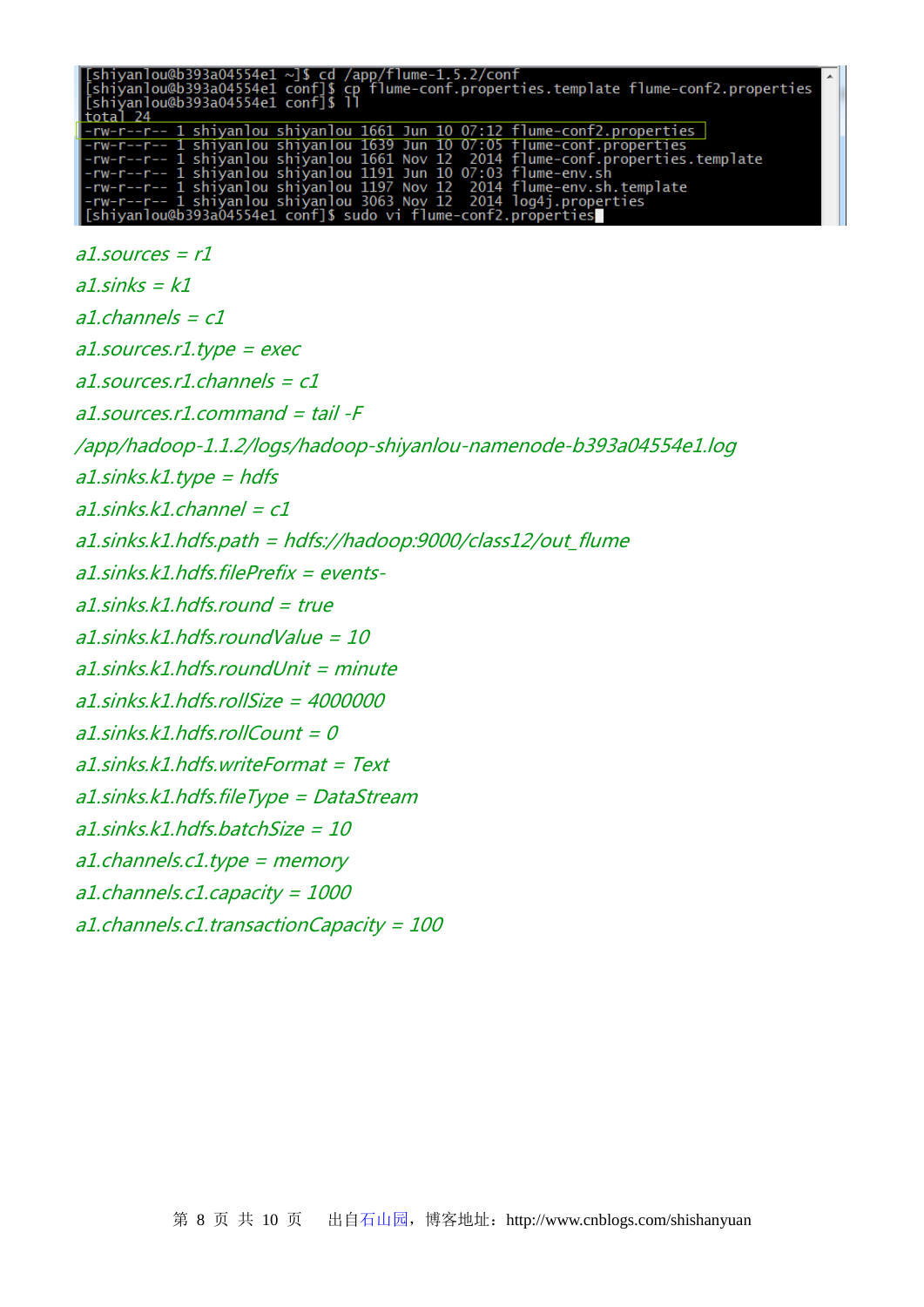| [shiyanlou@b393a04554e1 ~]\$ cd /app/flume-1.5.2/conf<br>[shiyanlou@b393a04554e1 conf]\$ cp flume-conf.properties.template flume-conf2.properties<br> [shiyanlou@b393a04554e1 conf]\$ ll<br>total 24 |
|------------------------------------------------------------------------------------------------------------------------------------------------------------------------------------------------------|
| -rw-r--r-- 1 shiyanlou shiyanlou 1661 Jun 10 07:12 flume-conf2.properties                                                                                                                            |
| -rw-r--r-- 1 shiyanlou shiyanlou 1639 Jun 10 07:05 flume-conf.properties                                                                                                                             |
| -rw-r--r-- 1 shiyanlou shiyanlou 1661 Nov 12  2014 flume-conf.properties.template                                                                                                                    |
| -rw-r--r-- 1 shiyanlou shiyanlou 1191 Jun 10 07:03 flume-env.sh                                                                                                                                      |
| -rw-r--r-- 1 shiyanlou shiyanlou 1197 Nov 12 2014 flume-env.sh.template                                                                                                                              |
| -rw-r--r-- 1 shiyanlou shiyanlou 3063 Nov 12  2014 loq4j.properties                                                                                                                                  |
| [[shiyanlou@b393a04554e1 conf]\$ sudo vi flume-conf2.properties                                                                                                                                      |

```
a1.sources = r1a1 sinks = k1a1.channels = c1a1.sources.r1.type = exec
a1.sources.r1.channels = c1
a1.sources.r1.command = tail -F 
/app/hadoop-1.1.2/logs/hadoop-shiyanlou-namenode-b393a04554e1.log
a1.sinks.k1.type = hdfsa1.sinks.k1.channel = c1a1.sinks.k1.hdfs.path = hdfs://hadoop:9000/class12/out_flume
a1.sinks.k1.hdfs.filePrefix = events-
a1\text{ sinks}.k1.hdfs.round = true
a1.sinks.k1.hdfs.roundValue = 10
a1.sinks.k1.hdfs.roundUnit = minute
a1.sinks.k1.hdfs.rollSize = 4000000
a1.sinks.k1.hdfs.rollCount = 0
a1.sinks.k1.hdfs.writeFormat = Text
a1.sinks.k1.hdfs.fileType = DataStream
a1.sinks.k1.hdfs.batchSize = 10
a1.channels.c1.type = memory
a1.channels.c1.capacity = 1000
a1.channels.c1.transactionCapacity = 100
```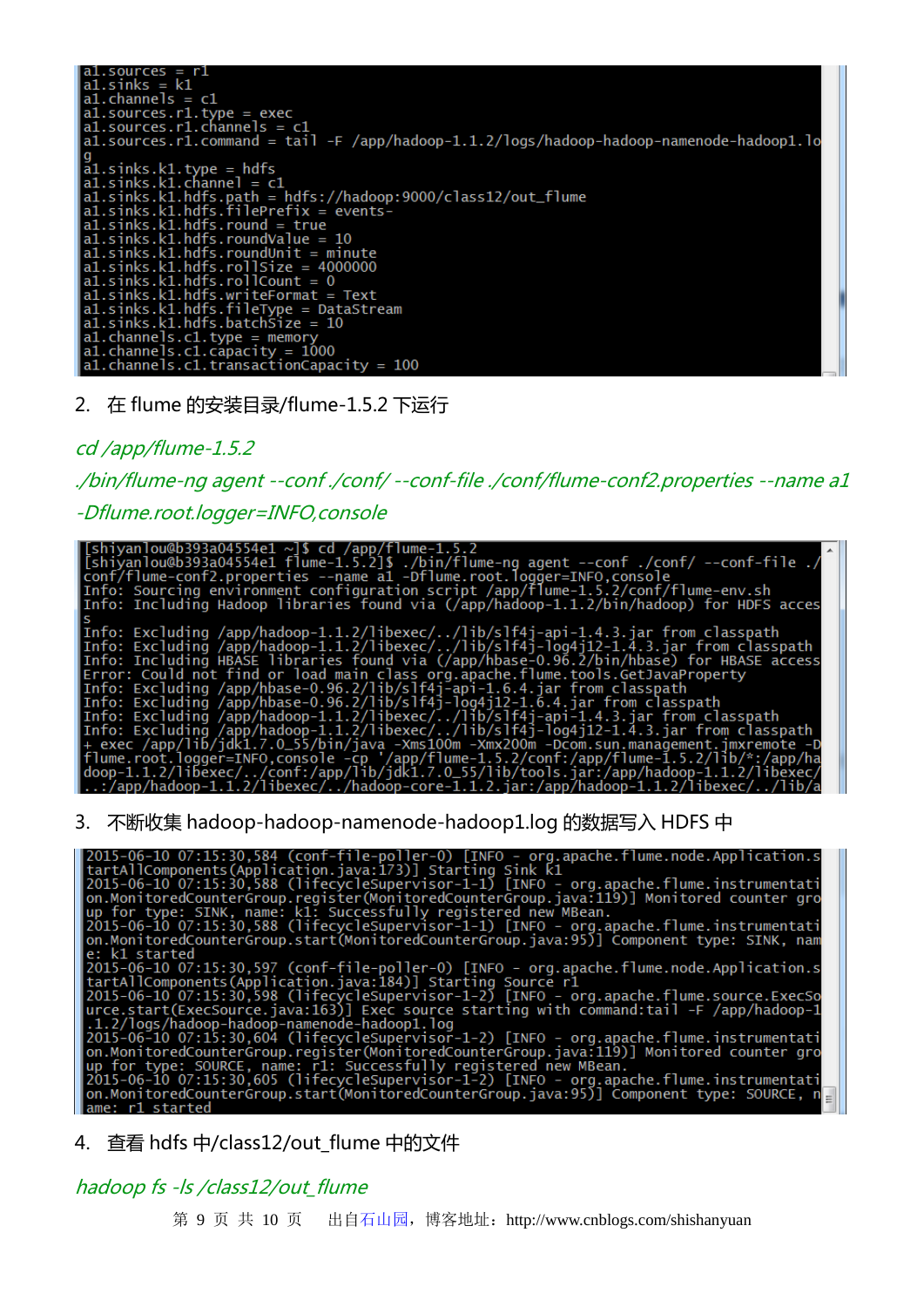2. 在 flume 的安装目录/flume-1.5.2 下运行

cd /app/flume-1.5.2

./bin/flume-ng agent --conf ./conf/ --conf-file ./conf/flume-conf2.properties --name a1 -Dflume.root.logger=INFO,console



3. 不断收集 hadoop-hadoop-namenode-hadoop1.log 的数据写入 HDFS 中

2015-06-10 07:15:30,584 (conf-file-poller-0) [INFO - org.apache.flume.node.Application.s<br>tartAllComponents(Application.java:173)] Starting Sink k1<br>2015-06-10 07:15:30,588 (lifecycleSupervisor-1-1) [INFO - org.apache.flume. k1 started e: k1 started<br>
2015-06-10 07:15:30,597 (conf-file-poller-0) [INFO - org.apache.flume.node.Application.s<br>
2015-06-10 07:15:30,598 (lifecycleSupervisor-1-2) [INFO - org.apache.flume.node.Application.s<br>
2015-06-10 07:15:30,59

4. 查看 hdfs 中/class12/out flume 中的文件

#### hadoop fs -ls /class12/out\_flume

第 9 页 共 10 页 出自石山园, 博客地址: http://www.cnblogs.com/shishanyuan